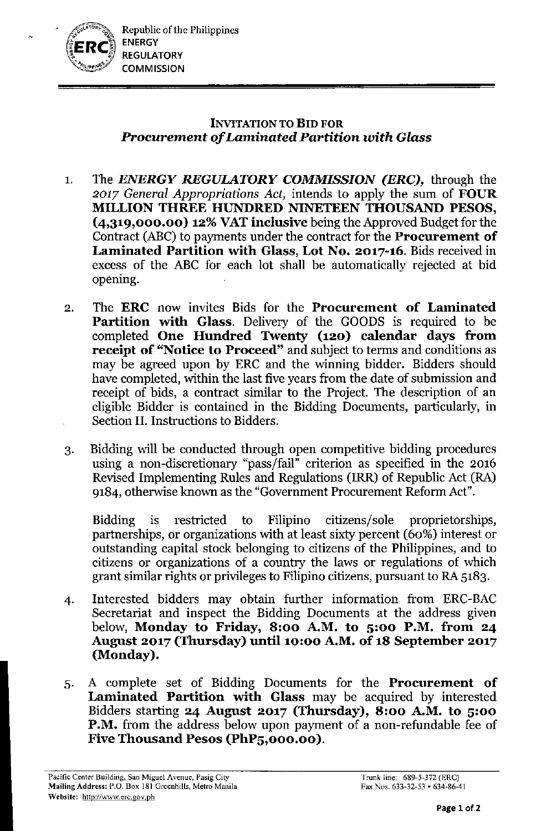

## INVITATION TO BID FOR *Procurement of Laminated Partition with Glass*

- I. The *ENERGY REGULATORY COMMISSION (ERC),* through the *2017 General Appropriations Act,* intends to apply the sum of FOUR MILLION THREE HUNDRED NINETEEN THOUSAND PESOS,  $(4,319,000.00)$  12% VAT inclusive being the Approved Budget for the Contract (ABC) to payments under the contract for the **Procurement of** Laminated Partition with Glass, Lot No. 2017-16. Bids received in excess of the ABC for each lot shall be automatically rejected at bid opening.
- 2. The ERC now invites Bids for the Procurement of Laminated Partition with Glass. Delivery of the GOODS is required to be completed One Hundred Twenty (120) calendar days from receipt of "Notice to Proceed" and subject to terms and conditions as may be agreed upon by ERC and the winning bidder. Bidders should have completed, within the last five years from the date of submission and receipt of bids, a contract similar to the Project. The description of an eligible Bidder is contained in the Bidding Documents, particularly, in Section II. Instructions to Bidders.
- 3. Bidding will be conducted through open competitive bidding procedures using a non-discretionary "pass/fail" criterion as specified in the 2016 Revised Implementing Rules and Regulations (IRR) of Republic Act (RA) 9184, otherwise known as the "Government Procurement Reform Act".

Bidding is restricted to Filipino citizens/sole proprietorships, partnerships, or organizations with at least sixty percent (60%) interest or outstanding capital stock belonging to citizens of the Philippines, and to citizens or organizations of a conntry the laws or regulations of which grant similar rights or privileges to Filipino citizens, pursuant to RA 5183.

- 4. Interested bidders may obtain further information from ERC-BAC Secretariat and inspect the Bidding Documents at the address given below, Monday to Friday, 8:00 A.M. to 5:00 P.M. from 24 August 2017 (Thursday) until 10:00 A.M. of 18 September 2017 (Monday).
- 5. A complete set of Bidding Documents for the Procurement of Laminated Partition with Glass may be acquired by interested Bidders starting 24 August 2017 (Thursday), 8:00 A.M. to 5:00 P.M. from the address below upon payment of a non-refundable fee of Five Thousand Pesos (PhP5,000.00).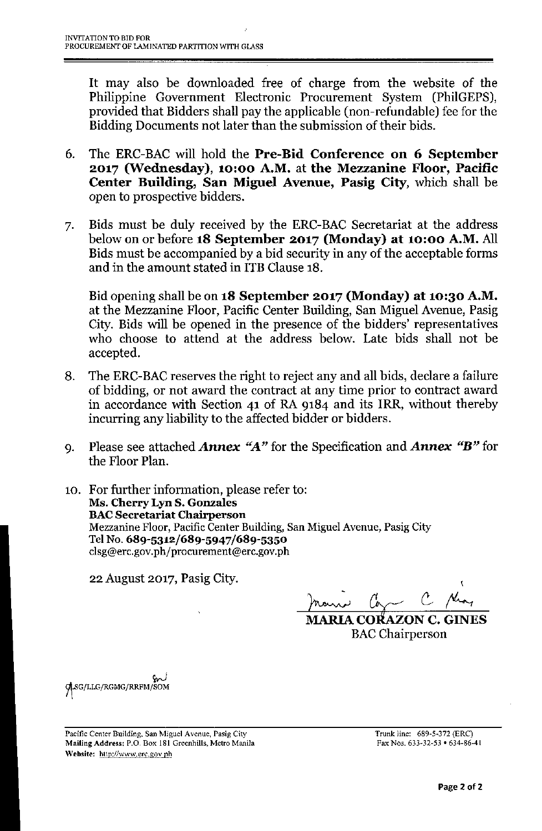It may also be downloaded free of charge from the website of the Philippine Government Electronic Procurement System (PhilGEPS), provided that Bidders shall pay the applicable (non-refundable) fee for the Bidding Documents not later than the submission of their bids.

- 6. The ERC-BAC will hold the Pre-Bid Conference on 6 September 2017 (Wednesday), 10:00 A.M. at the Mezzanine Floor, Pacific Center Building, San Miguel Avenue, Pasig City, which shall be open to prospective bidders.
- 7. Bids must be duly received by the ERC-BAC Secretariat at the address below on or before 18 September 2017 (Monday) at 10:00 A.M. All Bids must be accompanied by a bid security in any of the acceptable forms and in the amount stated in ITB Clause 18.

Bid opening shall be on 18 September 2017 (Monday) at 10:30 A.M. at the Mezzanine Floor, Pacific Center Building, San Miguel Avenue, Pasig City. Bids will be opened in the presence of the bidders' representatives who choose to attend at the address below. Late bids shall not be accepted.

- 8. The ERC-BAC reserves the right to reject any and all bids, declare a failure of bidding, or not award the contract at any time prior to contract award in accordance with Section 41 of RA 9184 and its IRR, without thereby incurring any liability to the affected bidder or bidders.
- 9. Please see attached *Annex "A"* for the Specification and *Annex "B"* for the Floor Plan.
- 10. For further information, please refer to: Ms. Cherry Lyn S. Gonzales **BAC Secretariat Chairperson** Mezzanine Floor, Pacific Center Building, San Miguel Avenue, Pasig City TelNo. 689-5312/689-5947/689-5350 [clsg@erc.gov.ph/procurement@erc.gov.](mailto:clsg@erc.gov.ph/procurement@erc.gov.ph)ph

22 August 2017, Pasig City.

\ marie Com

ARIA CORAZON C. GINES BAC Chairperson

*wJ* GLSG/LLG/RGMG/RRFM

Pacific Center Building. San Miguel Avenue, Pasig City Mailing Address: P.O. Box 181 Greenhills, Metro Manila Website: http://www.erc.gov.ph

Trunk line: 689-5.372 (ERe) Fax Nos. 633.32.53 • 634-86-41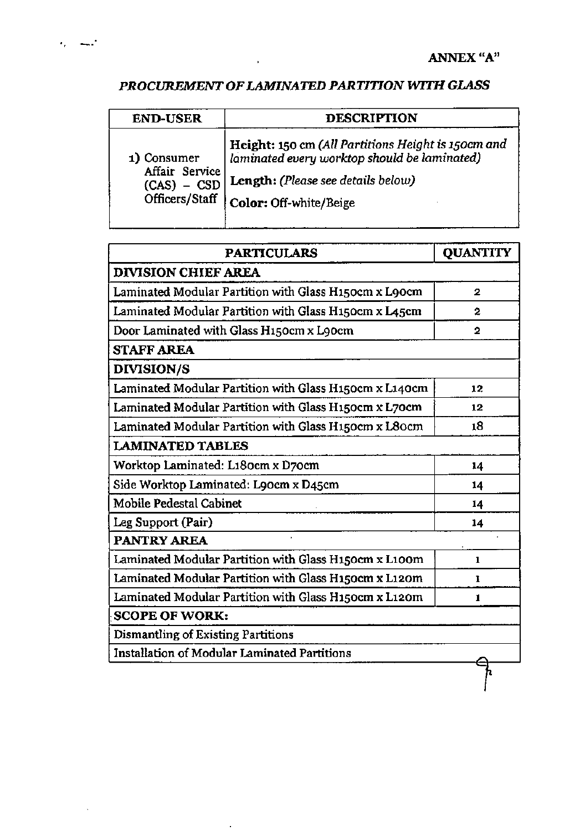## *PROCUREMENT* OF*LAMINATED PARTITION WITH GLASS*

 $\ddot{\phantom{a}}$ 

| <b>END-USER</b>                                                  | <b>DESCRIPTION</b>                                                                                                                                                 |
|------------------------------------------------------------------|--------------------------------------------------------------------------------------------------------------------------------------------------------------------|
| 1) Consumer<br>Affair Service<br>$(CAS) - CSD$<br>Officers/Staff | Height: 150 cm (All Partitions Height is 150cm and<br>laminated every worktop should be laminated)<br>Length: (Please see details below)<br>Color: Off-white/Beige |

| <b>PARTICULARS</b>                                     | <b>OUANTITY</b> |  |
|--------------------------------------------------------|-----------------|--|
| <b>DIVISION CHIEF AREA</b>                             |                 |  |
| Laminated Modular Partition with Glass H150cm x L90cm  | 2               |  |
| Laminated Modular Partition with Glass H150cm x L45cm  | 2               |  |
| Door Laminated with Glass H150cm x L90cm               | 2               |  |
| <b>STAFF AREA</b>                                      |                 |  |
| <b>DIVISION/S</b>                                      |                 |  |
| Laminated Modular Partition with Glass H150cm x L140cm | 12              |  |
| Laminated Modular Partition with Glass H150cm x L70cm  | 12              |  |
| Laminated Modular Partition with Glass H150cm x L80cm  | 18              |  |
| <b>LAMINATED TABLES</b>                                |                 |  |
| Worktop Laminated: L180cm x D70cm                      | 14              |  |
| Side Worktop Laminated: L90cm x D45cm                  | 14              |  |
| Mobile Pedestal Cabinet                                | 14              |  |
| Leg Support (Pair)                                     | 14              |  |
| <b>PANTRY AREA</b>                                     |                 |  |
| Laminated Modular Partition with Glass H150cm x L100m  | 1               |  |
| Laminated Modular Partition with Glass H150cm x L120m  | ı               |  |
| Laminated Modular Partition with Glass H150cm x L120m  | 1.              |  |
| <b>SCOPE OF WORK:</b>                                  |                 |  |
| Dismantling of Existing Partitions                     |                 |  |
| Installation of Modular Laminated Partitions           |                 |  |
|                                                        |                 |  |

l,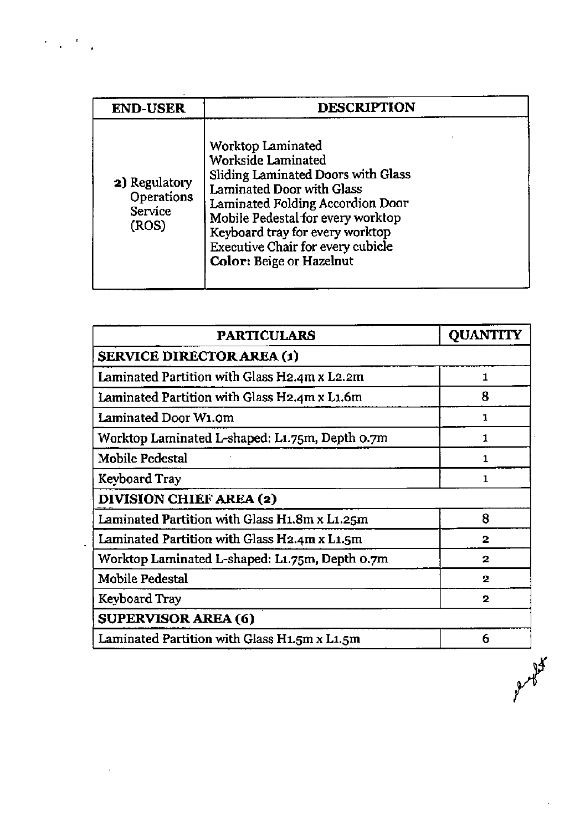| <b>END-USER</b>                                               | <b>DESCRIPTION</b>                                                                                                                                                                                                                                                                                    |  |
|---------------------------------------------------------------|-------------------------------------------------------------------------------------------------------------------------------------------------------------------------------------------------------------------------------------------------------------------------------------------------------|--|
| <b>2)</b> Regulatory<br><b>Operations</b><br>Service<br>(ROS) | Worktop Laminated<br><b>Workside Laminated</b><br>Sliding Laminated Doors with Glass<br>Laminated Door with Glass<br>Laminated Folding Accordion Door<br>Mobile Pedestal for every worktop<br>Keyboard tray for every worktop<br>Executive Chair for every cubicle<br><b>Color: Beige or Hazelnut</b> |  |

 $\pmb{z}$ 

 $\ddot{\phantom{a}}$ 

 $\frac{1}{2}$ 

| <b>PARTICULARS</b>                             | <b>QUANTITY</b> |  |
|------------------------------------------------|-----------------|--|
| <b>SERVICE DIRECTOR AREA (1)</b>               |                 |  |
| Laminated Partition with Glass H2.4m x L2.2m   | 1               |  |
| Laminated Partition with Glass H2.4m x L1.6m   | 8               |  |
| Laminated Door W1.0m                           | 1               |  |
| Worktop Laminated L-shaped: L1.75m, Depth 0.7m | 1               |  |
| Mobile Pedestal                                | 1               |  |
| Keyboard Tray                                  | Т               |  |
| <b>DIVISION CHIEF AREA (2)</b>                 |                 |  |
| Laminated Partition with Glass H1.8m x L1.25m  | 8               |  |
| Laminated Partition with Glass H2.4m x L1.5m   | $\overline{2}$  |  |
| Worktop Laminated L-shaped: L1.75m, Depth 0.7m | 2               |  |
| Mobile Pedestal                                | $\overline{2}$  |  |
| Keyboard Tray                                  | $\overline{2}$  |  |
| <b>SUPERVISOR AREA (6)</b>                     |                 |  |
| Laminated Partition with Glass H1.5m x L1.5m   | 6               |  |

Aryly K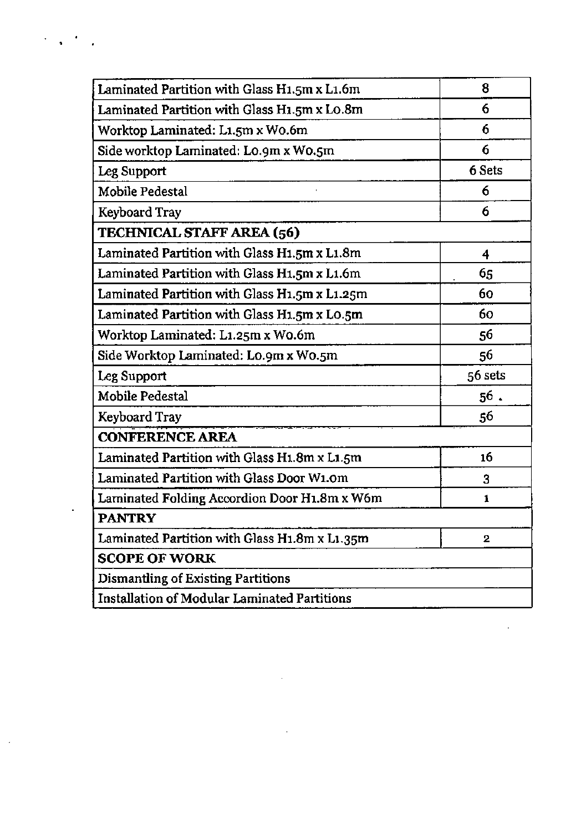| Laminated Partition with Glass H1.5m x L1.6m  | 8            |
|-----------------------------------------------|--------------|
| Laminated Partition with Glass H1.5m x Lo.8m  | 6            |
| Worktop Laminated: L1.5m x W0.6m              | 6            |
| Side worktop Laminated: Lo.9m x Wo.5m         | 6            |
| Leg Support                                   | 6 Sets       |
| Mobile Pedestal                               | 6            |
| Keyboard Tray                                 | 6            |
| TECHNICAL STAFF AREA (56)                     |              |
| Laminated Partition with Glass H1.5m x L1.8m  | 4            |
| Laminated Partition with Glass H1.5m x L1.6m  | 65           |
| Laminated Partition with Glass H1.5m x L1.25m | 60           |
| Laminated Partition with Glass H1.5m x L0.5m  | 60           |
| Worktop Laminated: L1.25m x W0.6m             | 56           |
| Side Worktop Laminated: Lo.9m x Wo.5m         | 56           |
| Leg Support                                   | 56 sets      |
| Mobile Pedestal                               | $56$ .       |
| Keyboard Tray                                 | 56           |
| <b>CONFERENCE AREA</b>                        |              |
| Laminated Partition with Glass H1.8m x L1.5m  | 16           |
| Laminated Partition with Glass Door W1.0m     | 3            |
| Laminated Folding Accordion Door H1.8m x W6m  | 1            |
| <b>PANTRY</b>                                 |              |
| Laminated Partition with Glass H1.8m x L1.35m | $\mathbf{2}$ |
| <b>SCOPE OF WORK</b>                          |              |
| Dismantling of Existing Partitions            |              |
| Installation of Modular Laminated Partitions  |              |

 $\label{eq:2.1} \mathcal{L}(\mathcal{L}^{\text{max}}_{\mathcal{L}}(\mathcal{L}^{\text{max}}_{\mathcal{L}}(\mathcal{L}^{\text{max}}_{\mathcal{L}}(\mathcal{L}^{\text{max}}_{\mathcal{L}^{\text{max}}_{\mathcal{L}}})))))$ 

 $\epsilon_{\rm{eff}}$  ,  $\epsilon_{\rm{eff}}$ 

 $\mathcal{L}^{(1)}$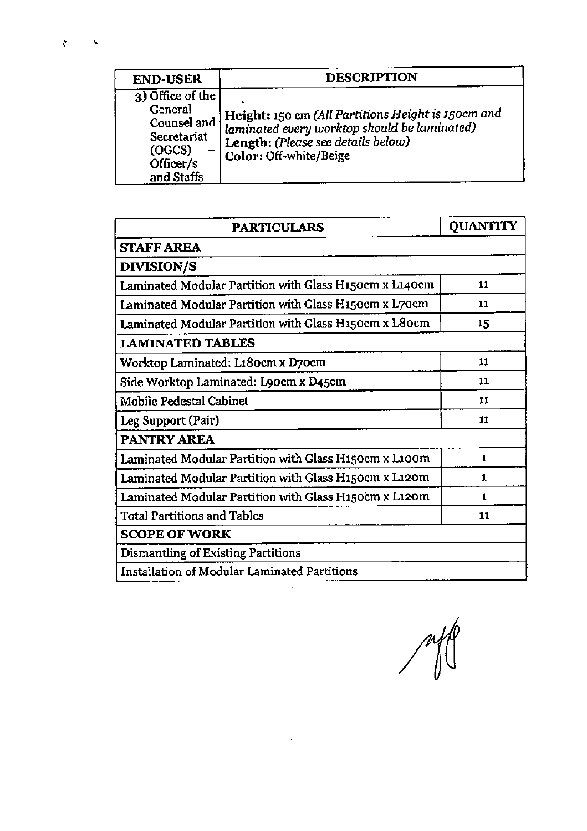| <b>END-USER</b>                                                                                | <b>DESCRIPTION</b>                                                                                                                                                 |
|------------------------------------------------------------------------------------------------|--------------------------------------------------------------------------------------------------------------------------------------------------------------------|
| 3) Office of the<br>General<br>Counsel and<br>Secretariat<br>(OGCS)<br>Officer/s<br>and Staffs | Height: 150 cm (All Partitions Height is 150cm and<br>laminated every worktop should be laminated)<br>Length: (Please see details below)<br>Color: Off-white/Beige |

 $\blacksquare$ 

ł

| <b>PARTICULARS</b>                                     | <b>QUANTITY</b> |
|--------------------------------------------------------|-----------------|
| <b>STAFF AREA</b>                                      |                 |
| <b>DIVISION/S</b>                                      |                 |
| Laminated Modular Partition with Glass H150cm x L140cm | 11              |
| Laminated Modular Partition with Glass H150cm x L70cm  | 11              |
| Laminated Modular Partition with Glass H150cm x L80cm  | 15              |
| <b>LAMINATED TABLES</b>                                |                 |
| Worktop Laminated: L180cm x D70cm                      | 11              |
| Side Worktop Laminated: Loocm x D45cm                  | 11              |
| Mobile Pedestal Cabinet                                | 11              |
| Leg Support (Pair)                                     | 11              |
| <b>PANTRY AREA</b>                                     |                 |
| Laminated Modular Partition with Glass H150cm x L100m  | 1.              |
| Laminated Modular Partition with Glass H150cm x L120m  | 1               |
| Laminated Modular Partition with Glass H150cm x L120m  | 1               |
| <b>Total Partitions and Tables</b>                     | 11              |
| <b>SCOPE OF WORK</b>                                   |                 |
| Dismantling of Existing Partitions                     |                 |
| Installation of Modular Laminated Partitions           |                 |

 $\overline{\phantom{a}}$ 

 $\hat{\boldsymbol{\beta}}$ 

 $\Delta \sim 10^4$ 

 $\cup$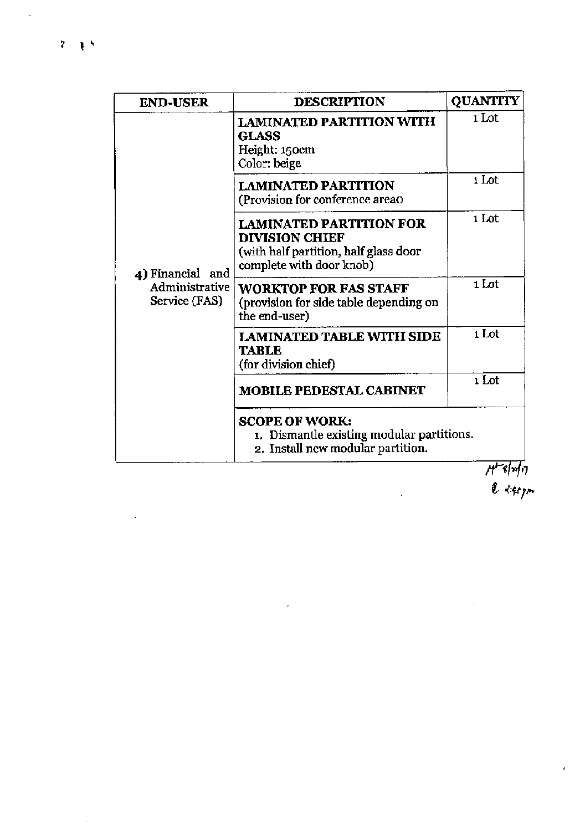ä,

 $\hat{\mathcal{E}}$ 

 $\ddot{\phantom{0}}$ 

| <b>END-USER</b>                                     | <b>DESCRIPTION</b>                                                                                                           | <b>QUANTITY</b> |
|-----------------------------------------------------|------------------------------------------------------------------------------------------------------------------------------|-----------------|
| 4) Financial and<br>Administrative<br>Service (FAS) | <b>LAMINATED PARTITION WITH</b><br><b>GLASS</b><br>Height: 150cm<br>Color: beige                                             | 1 Lot           |
|                                                     | <b>LAMINATED PARTITION</b><br>(Provision for conference areao                                                                | 1 Lot           |
|                                                     | <b>LAMINATED PARTITION FOR</b><br><b>DIVISION CHIEF</b><br>(with half partition, half glass door<br>complete with door knob) | 1 Lot           |
|                                                     | <b>WORKTOP FOR FAS STAFF</b><br>(provision for side table depending on<br>the end-user)                                      | 1 Lot           |
|                                                     | <b>LAMINATED TABLE WITH SIDE</b><br><b>TABLE</b><br>(for division chief)                                                     | 1 Lot           |
|                                                     | <b>MOBILE PEDESTAL CABINET</b>                                                                                               | 1 Lot           |
|                                                     | <b>SCOPE OF WORK:</b><br>1. Dismantle existing modular partitions.<br>2. Install new modular partition.                      | المسا           |

 $\hat{\mathcal{F}}$ 

//\*\*\*/7<br>| e *+#17* 

÷.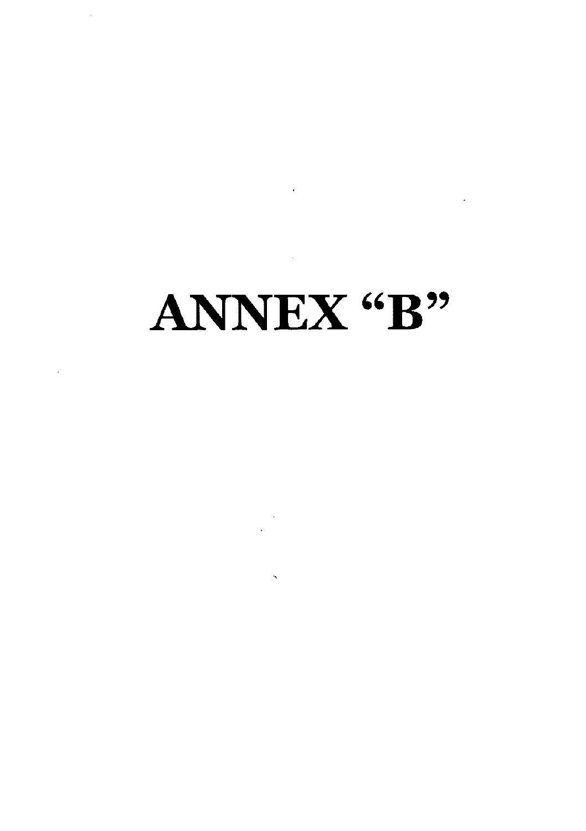## ANNEX "B"

 $\mathcal{F}_{\mathcal{G}}$ 

 $\ddot{\phantom{1}}$ 

 $\sim$   $\lambda$ 

 $\mathcal{L}^{\text{max}}_{\text{max}}$  ,  $\mathcal{L}^{\text{max}}_{\text{max}}$ 

 $\label{eq:2.1} \mathbf{E}_{\mathrm{eff}} = \frac{1}{2} \sum_{i=1}^{N} \mathbf{E}_{\mathrm{eff}} \mathbf{E}_{\mathrm{eff}} \mathbf{E}_{\mathrm{eff}}$ 

 $\sim$   $\sim$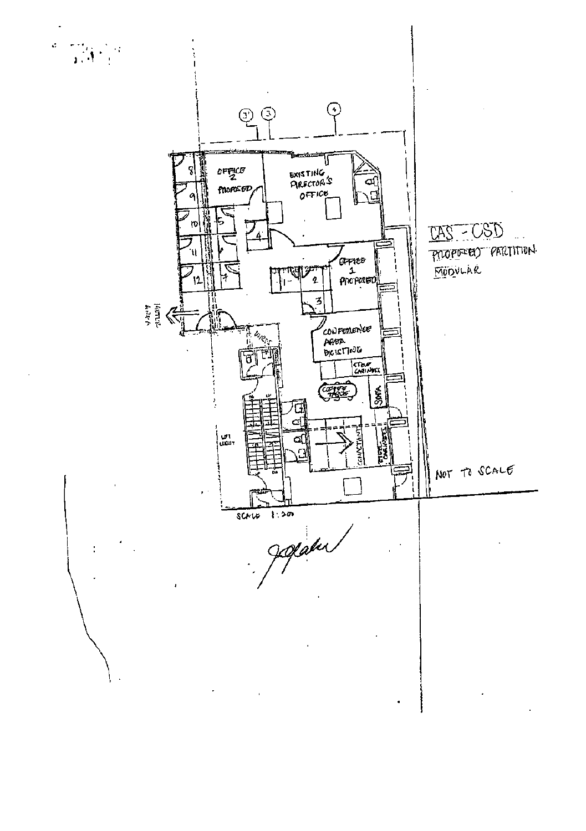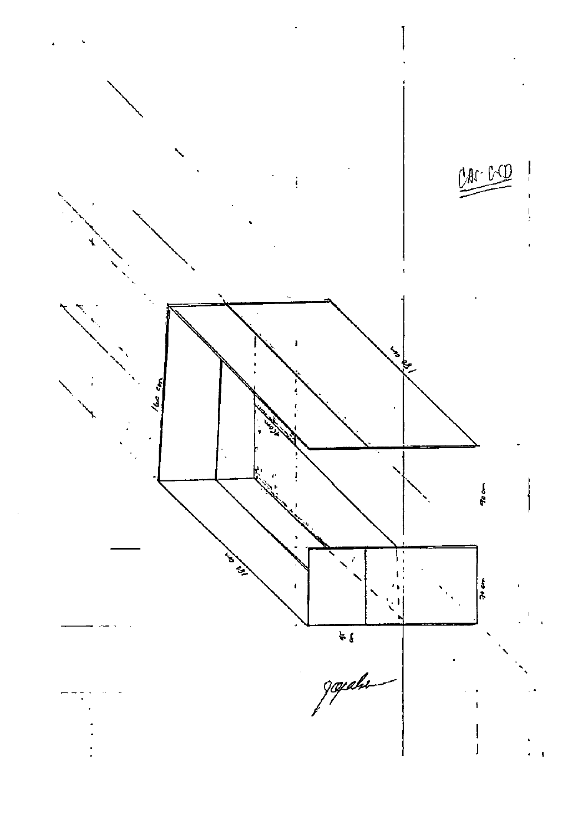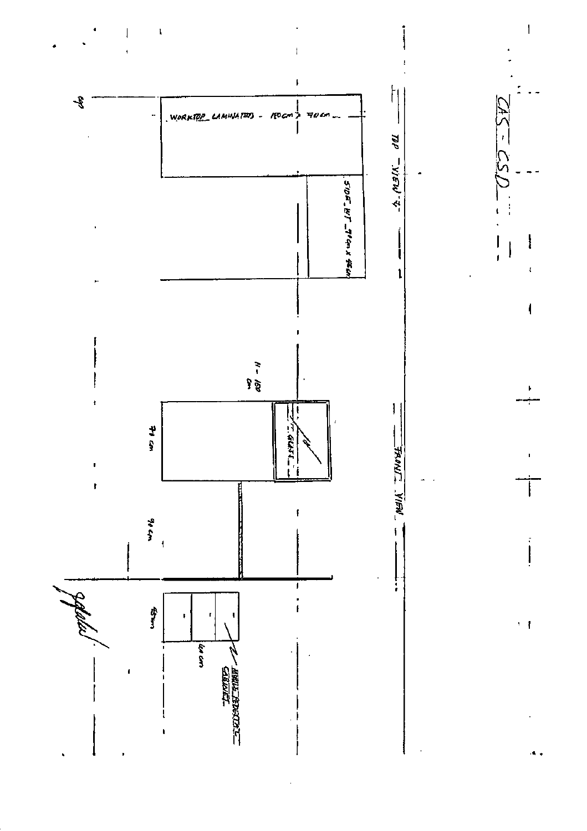

 $\mathbf{I}$ 

 $\overline{1}$ 

 $\overline{1}$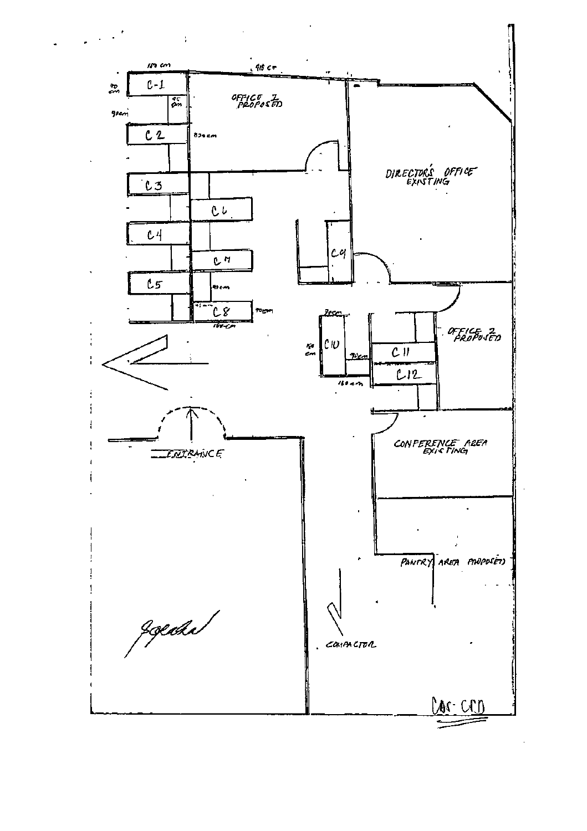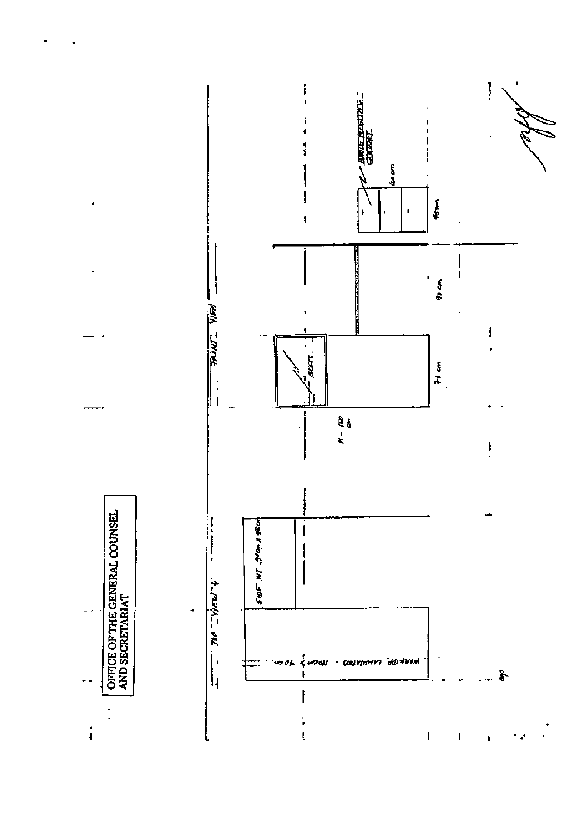

 $\blacksquare$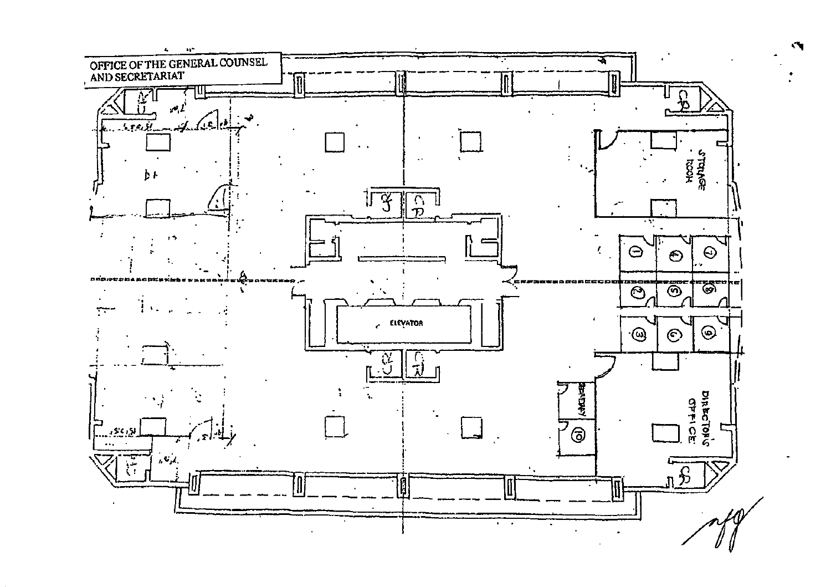

 $\mathbf{C}_{\mathbf{I}}$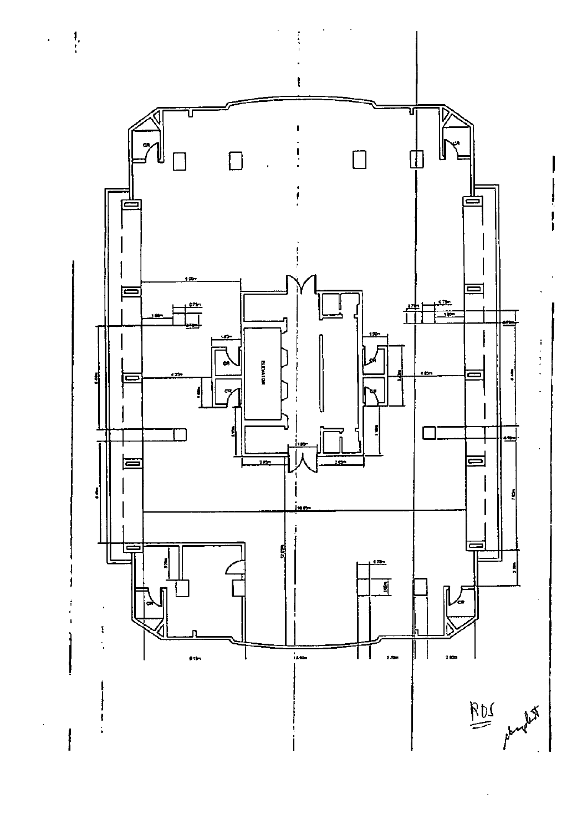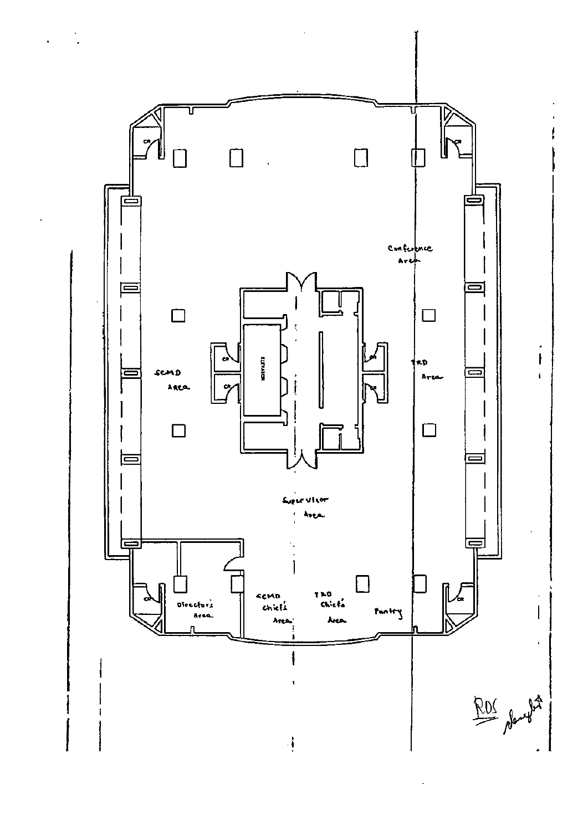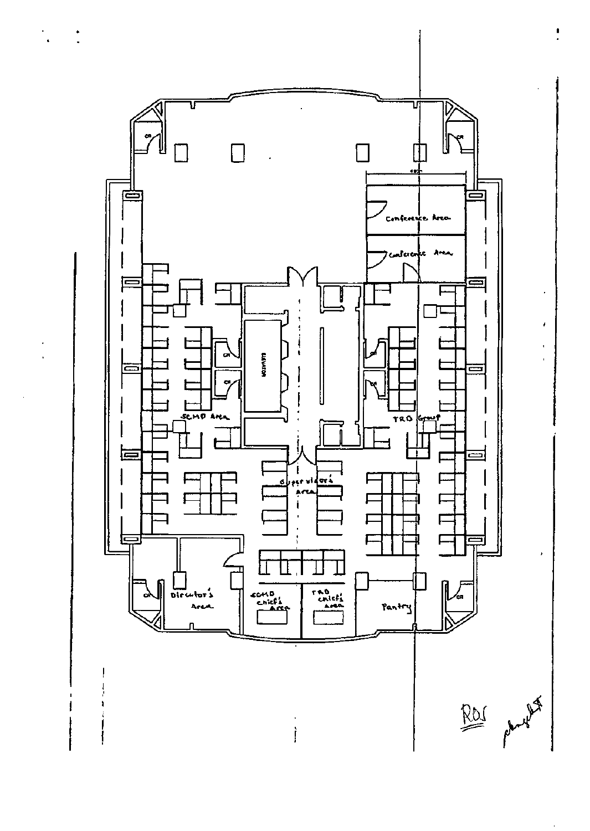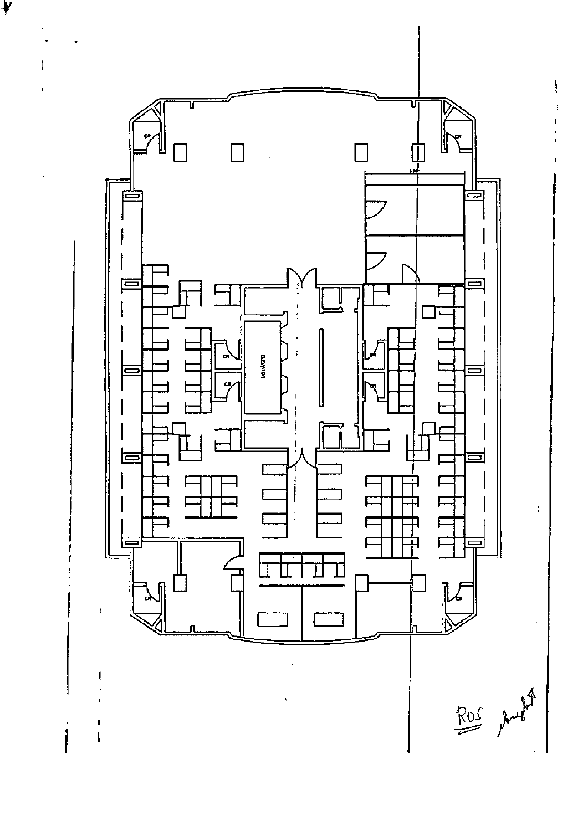

Y